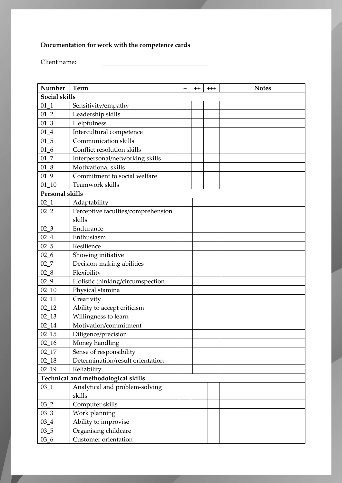## **Documentation for work with the competence cards**

Client name:

| Number                              | <b>Term</b>                        | $\ddot{}$ | $^{\mathrm{+}}$ | $^{++}$ | <b>Notes</b> |
|-------------------------------------|------------------------------------|-----------|-----------------|---------|--------------|
| Social skills                       |                                    |           |                 |         |              |
| 01 1                                | Sensitivity/empathy                |           |                 |         |              |
| $01_{2}$                            | Leadership skills                  |           |                 |         |              |
| $01_3$                              | Helpfulness                        |           |                 |         |              |
| $01_4$                              | Intercultural competence           |           |                 |         |              |
| $01_{-5}$                           | Communication skills               |           |                 |         |              |
| 016                                 | Conflict resolution skills         |           |                 |         |              |
| 017                                 | Interpersonal/networking skills    |           |                 |         |              |
| $01_8$                              | Motivational skills                |           |                 |         |              |
| 01 9                                | Commitment to social welfare       |           |                 |         |              |
| $01_{10}$                           | Teamwork skills                    |           |                 |         |              |
| <b>Personal skills</b>              |                                    |           |                 |         |              |
| $02_{-1}$                           | Adaptability                       |           |                 |         |              |
| 022                                 | Perceptive faculties/comprehension |           |                 |         |              |
|                                     | skills                             |           |                 |         |              |
| $02-3$                              | Endurance                          |           |                 |         |              |
| $02_{-4}$                           | Enthusiasm                         |           |                 |         |              |
| $02\_5$                             | Resilience                         |           |                 |         |              |
| $02_{-6}$                           | Showing initiative                 |           |                 |         |              |
| 027                                 | Decision-making abilities          |           |                 |         |              |
| $02 - 8$                            | Flexibility                        |           |                 |         |              |
| $02 - 9$                            | Holistic thinking/circumspection   |           |                 |         |              |
| $02 - 10$                           | Physical stamina                   |           |                 |         |              |
| $02 - 11$                           | Creativity                         |           |                 |         |              |
| $02 - 12$                           | Ability to accept criticism        |           |                 |         |              |
| $02 - 13$                           | Willingness to learn               |           |                 |         |              |
| $02 - 14$                           | Motivation/commitment              |           |                 |         |              |
| $02 - 15$                           | Diligence/precision                |           |                 |         |              |
| $02 - 16$                           | Money handling                     |           |                 |         |              |
| 02 17                               | Sense of responsibility            |           |                 |         |              |
| 02 18                               | Determination/result orientation   |           |                 |         |              |
| 02 19                               | Reliability                        |           |                 |         |              |
| Technical and methodological skills |                                    |           |                 |         |              |
| $03 - 1$                            | Analytical and problem-solving     |           |                 |         |              |
|                                     | skills                             |           |                 |         |              |
| $03_{2}$                            | Computer skills                    |           |                 |         |              |
| $03 - 3$                            | Work planning                      |           |                 |         |              |
| $03 - 4$                            | Ability to improvise               |           |                 |         |              |
| $03 - 5$                            | Organising childcare               |           |                 |         |              |
| $036 - 6$                           | Customer orientation               |           |                 |         |              |